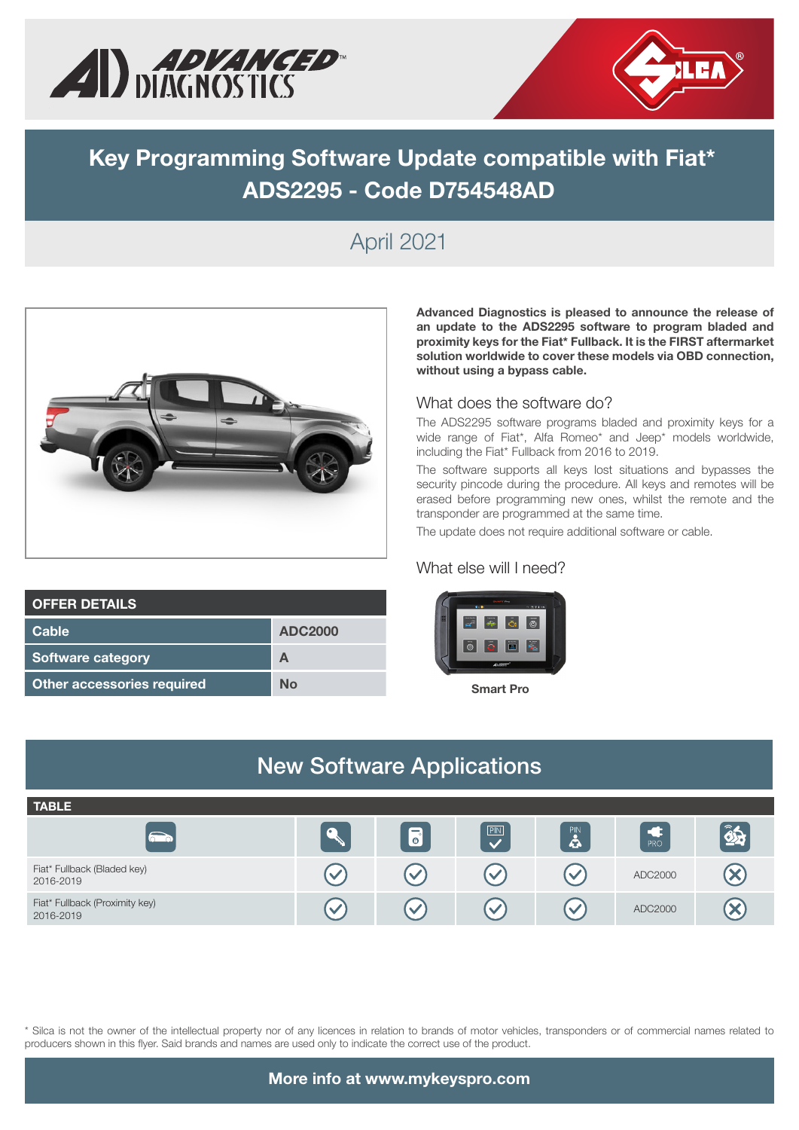



# **Key Programming Software Update compatible with Fiat\* ADS2295 - Code D754548AD**

# April 2021



| <b>OFFER DETAILS</b>       |                |
|----------------------------|----------------|
| Cable                      | <b>ADC2000</b> |
| <b>Software category</b>   | А              |
| Other accessories required | Nο             |

**Advanced Diagnostics is pleased to announce the release of an update to the ADS2295 software to program bladed and proximity keys for the Fiat\* Fullback. It is the FIRST aftermarket solution worldwide to cover these models via OBD connection, without using a bypass cable.** 

#### What does the software do?

The ADS2295 software programs bladed and proximity keys for a wide range of Fiat\*, Alfa Romeo\* and Jeep\* models worldwide, including the Fiat\* Fullback from 2016 to 2019.

The software supports all keys lost situations and bypasses the security pincode during the procedure. All keys and remotes will be erased before programming new ones, whilst the remote and the transponder are programmed at the same time.

The update does not require additional software or cable.

### What else will I need?



Smart Pro

#### New Software Applications **TABLE**  $\overline{PIN}$  $\left| \hat{\mathbf{z}} \right|$  $\mathbf{R}$  $\overline{\mathbf{e}}$  $\overline{\vee}$  $\bigotimes$ Fiat\* Fullback (Bladed key) 1.41 Tulback (Bladed Rey) (V CV CV CV ADC2000 Fiat\* Fullback (Proximity key)<br>2016-2019 Profit Politics, (Proximity Rey) and the control of the control of the control of the control of the control of the control of the control of the control of the control of the control of the control of the control of the

\* Silca is not the owner of the intellectual property nor of any licences in relation to brands of motor vehicles, transponders or of commercial names related to producers shown in this flyer. Said brands and names are used only to indicate the correct use of the product.